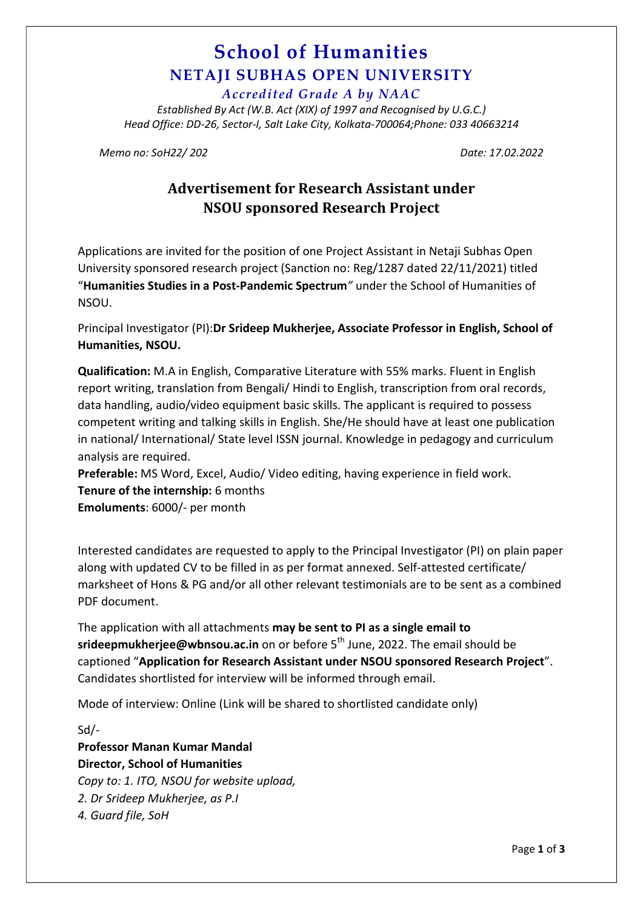### School of Humanities NETAJI SUBHAS OPEN UNIVERSITY

Accredited Grade A by NAAC

Established By Act (W.B. Act (XIX) of 1997 and Recognised by U.G.C.) Head Office: DD-26, Sector-I, Salt Lake City, Kolkata-700064;Phone: 033 40663214

Memo no: SoH22/ 202 Date: 17.02.2022

### Advertisement for Research Assistant under NSOU sponsored Research Project

Applications are invited for the position of one Project Assistant in Netaji Subhas Open University sponsored research project (Sanction no: Reg/1287 dated 22/11/2021) titled "Humanities Studies in a Post-Pandemic Spectrum" under the School of Humanities of NSOU.

Principal Investigator (PI):Dr Srideep Mukherjee, Associate Professor in English, School of Humanities, NSOU.

Qualification: M.A in English, Comparative Literature with 55% marks. Fluent in English report writing, translation from Bengali/ Hindi to English, transcription from oral records, data handling, audio/video equipment basic skills. The applicant is required to possess competent writing and talking skills in English. She/He should have at least one publication in national/ International/ State level ISSN journal. Knowledge in pedagogy and curriculum analysis are required.

Preferable: MS Word, Excel, Audio/ Video editing, having experience in field work. Tenure of the internship: 6 months

Emoluments: 6000/- per month

Interested candidates are requested to apply to the Principal Investigator (PI) on plain paper along with updated CV to be filled in as per format annexed. Self-attested certificate/ marksheet of Hons & PG and/or all other relevant testimonials are to be sent as a combined PDF document.

The application with all attachments may be sent to PI as a single email to srideepmukheriee@wbnsou.ac.in on or before  $5<sup>th</sup>$  June, 2022. The email should be captioned "Application for Research Assistant under NSOU sponsored Research Project". Candidates shortlisted for interview will be informed through email.

Mode of interview: Online (Link will be shared to shortlisted candidate only)

Sd/-

Professor Manan Kumar Mandal Director, School of Humanities

Copy to: 1. ITO, NSOU for website upload, 2. Dr Srideep Mukherjee, as P.I 4. Guard file, SoH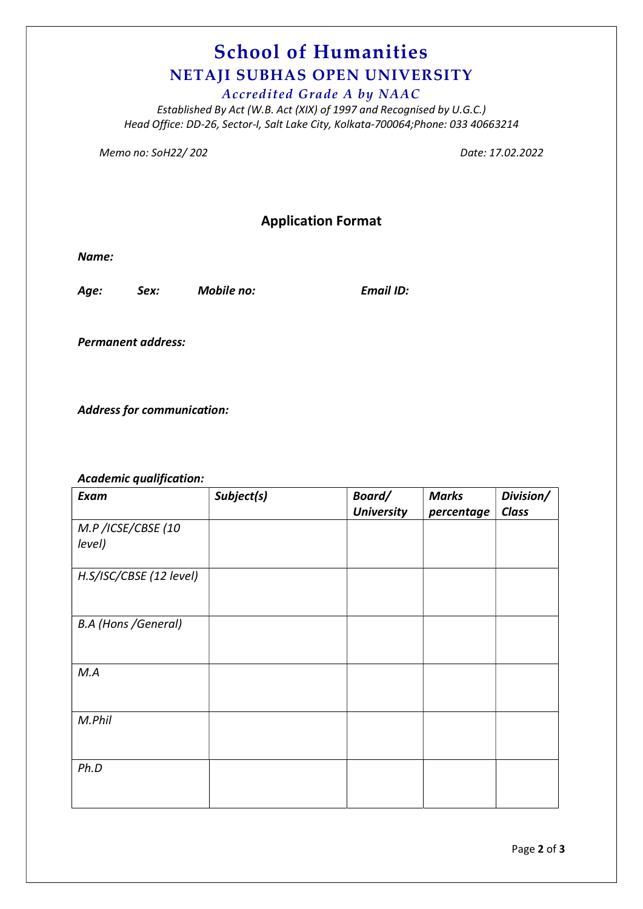# School of Humanities NETAJI SUBHAS OPEN UNIVERSITY

Accredited Grade A by NAAC

Established By Act (W.B. Act (XIX) of 1997 and Recognised by U.G.C.) Head Office: DD-26, Sector-I, Salt Lake City, Kolkata-700064;Phone: 033 40663214

Memo no: SoH22/ 202 **Date: 17.02.2022** 

### Application Format

Name:

Age: Sex: Mobile no: Email ID:

Permanent address:

Address for communication:

Academic qualification:

| Exam                       | Subject(s) | Board/            | <b>Marks</b> | Division/ |
|----------------------------|------------|-------------------|--------------|-----------|
|                            |            | <b>University</b> | percentage   | Class     |
| M.P/ICSE/CBSE (10          |            |                   |              |           |
| level)                     |            |                   |              |           |
|                            |            |                   |              |           |
| H.S/ISC/CBSE (12 level)    |            |                   |              |           |
|                            |            |                   |              |           |
|                            |            |                   |              |           |
| <b>B.A (Hons /General)</b> |            |                   |              |           |
|                            |            |                   |              |           |
|                            |            |                   |              |           |
| M.A                        |            |                   |              |           |
|                            |            |                   |              |           |
|                            |            |                   |              |           |
| M.Phil                     |            |                   |              |           |
|                            |            |                   |              |           |
|                            |            |                   |              |           |
| Ph.D                       |            |                   |              |           |
|                            |            |                   |              |           |
|                            |            |                   |              |           |